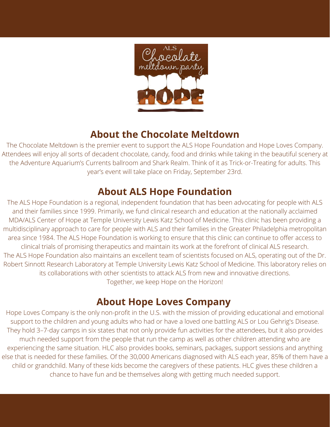

# **About the Chocolate Meltdown**

The Chocolate Meltdown is the premier event to support the ALS Hope Foundation and Hope Loves Company. Attendees will enjoy all sorts of decadent chocolate, candy, food and drinks while taking in the beautiful scenery at the Adventure Aquarium's Currents ballroom and Shark Realm. Think of it as Trick-or-Treating for adults. This year's event will take place on Friday, September 23rd.

# **About ALS Hope Foundation**

The ALS Hope Foundation is a regional, independent foundation that has been advocating for people with ALS and their families since 1999. Primarily, we fund clinical research and education at the nationally acclaimed MDA/ALS Center of Hope at Temple University Lewis Katz School of Medicine. This clinic has been providing a multidisciplinary approach to care for people with ALS and their families in the Greater Philadelphia metropolitan area since 1984. The ALS Hope Foundation is working to ensure that this clinic can continue to offer access to clinical trials of promising therapeutics and maintain its work at the forefront of clinical ALS research. The ALS Hope Foundation also maintains an excellent team of scientists focused on ALS, operating out of the Dr. Robert Sinnott Research Laboratory at Temple University Lewis Katz School of Medicine. This laboratory relies on its collaborations with other scientists to attack ALS from new and innovative directions. Together, we keep Hope on the Horizon!

# **About Hope Loves Company**

Hope Loves Company is the only non-profit in the U.S. with the mission of providing educational and emotional support to the children and young adults who had or have a loved one battling ALS or Lou Gehrig's Disease. They hold 3–7-day camps in six states that not only provide fun activities for the attendees, but it also provides much needed support from the people that run the camp as well as other children attending who are experiencing the same situation. HLC also provides books, seminars, packages, support sessions and anything else that is needed for these families. Of the 30,000 Americans diagnosed with ALS each year, 85% of them have a child or grandchild. Many of these kids become the caregivers of these patients. HLC gives these children a chance to have fun and be themselves along with getting much needed support.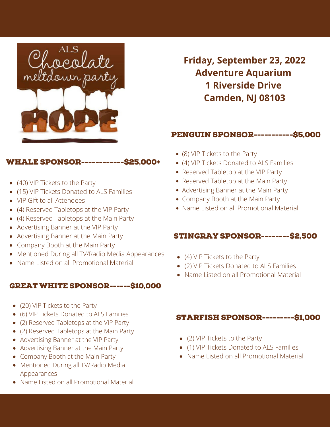

**Friday, September 23, 2022 Adventure Aquarium 1 Riverside Drive Camden, NJ 08103**

### PENGUIN SPONSOR-----------\$5,000

## WHALE SPONSOR------------\$25,000+

- (40) VIP Tickets to the Party
- (15) VIP Tickets Donated to ALS Families
- VIP Gift to all Attendees
- (4) Reserved Tabletops at the VIP Party
- (4) Reserved Tabletops at the Main Party
- Advertising Banner at the VIP Party
- Advertising Banner at the Main Party
- Company Booth at the Main Party
- Mentioned During all TV/Radio Media Appearances
- Name Listed on all Promotional Material

#### GREAT WHITE SPONSOR------\$10,000

- (20) VIP Tickets to the Party
- (6) VIP Tickets Donated to ALS Families
- (2) Reserved Tabletops at the VIP Party
- (2) Reserved Tabletops at the Main Party
- Advertising Banner at the VIP Party
- Advertising Banner at the Main Party
- Company Booth at the Main Party
- Mentioned During all TV/Radio Media Appearances
- Name Listed on all Promotional Material
- (8) VIP Tickets to the Party
- (4) VIP Tickets Donated to ALS Families
- Reserved Tabletop at the VIP Party
- Reserved Tabletop at the Main Party
- Advertising Banner at the Main Party
- Company Booth at the Main Party
- Name Listed on all Promotional Material

### STINGRAY SPONSOR--------\$2,500

- (4) VIP Tickets to the Party
- (2) VIP Tickets Donated to ALS Families
- Name Listed on all Promotional Material

### STARFISH SPONSOR---------\$1,000

- (2) VIP Tickets to the Party
- (1) VIP Tickets Donated to ALS Families
- Name Listed on all Promotional Material